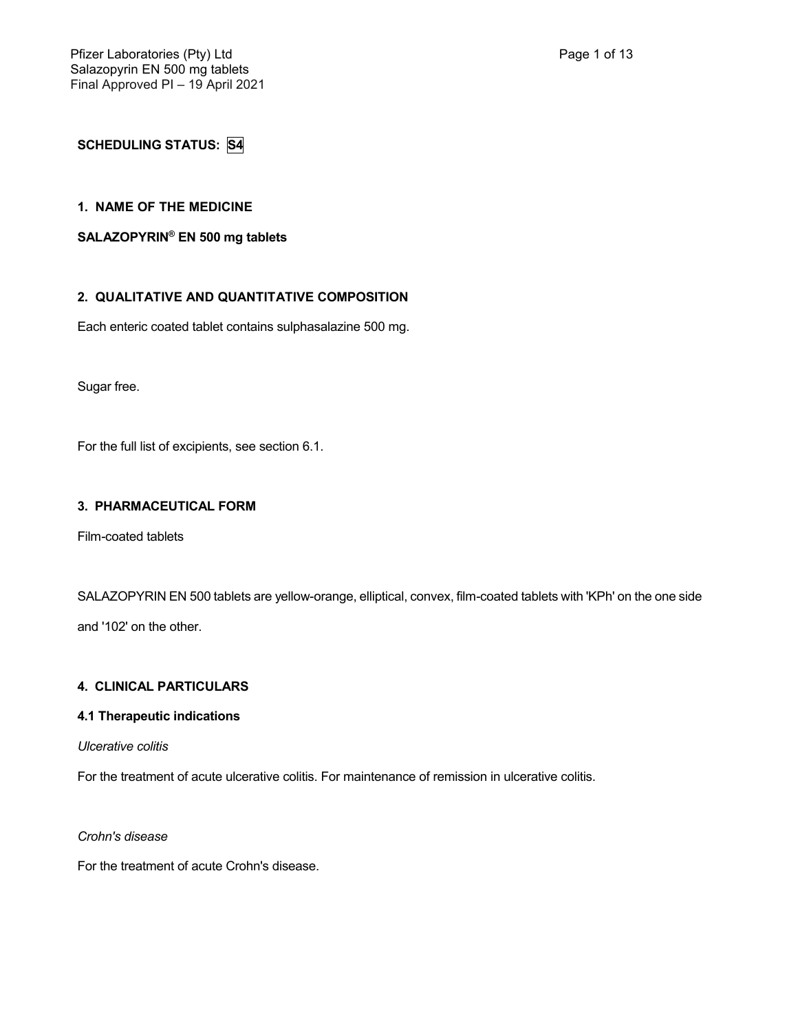**SCHEDULING STATUS: S4**

### **1. NAME OF THE MEDICINE**

### **SALAZOPYRIN® EN 500 mg tablets**

# **2. QUALITATIVE AND QUANTITATIVE COMPOSITION**

Each enteric coated tablet contains sulphasalazine 500 mg.

Sugar free.

For the full list of excipients, see section 6.1.

#### **3. PHARMACEUTICAL FORM**

Film-coated tablets

SALAZOPYRIN EN 500 tablets are yellow-orange, elliptical, convex, film-coated tablets with 'KPh' on the one side and '102' on the other.

### **4. CLINICAL PARTICULARS**

# **4.1 Therapeutic indications**

*Ulcerative colitis*

For the treatment of acute ulcerative colitis. For maintenance of remission in ulcerative colitis.

*Crohn's disease*

For the treatment of acute Crohn's disease.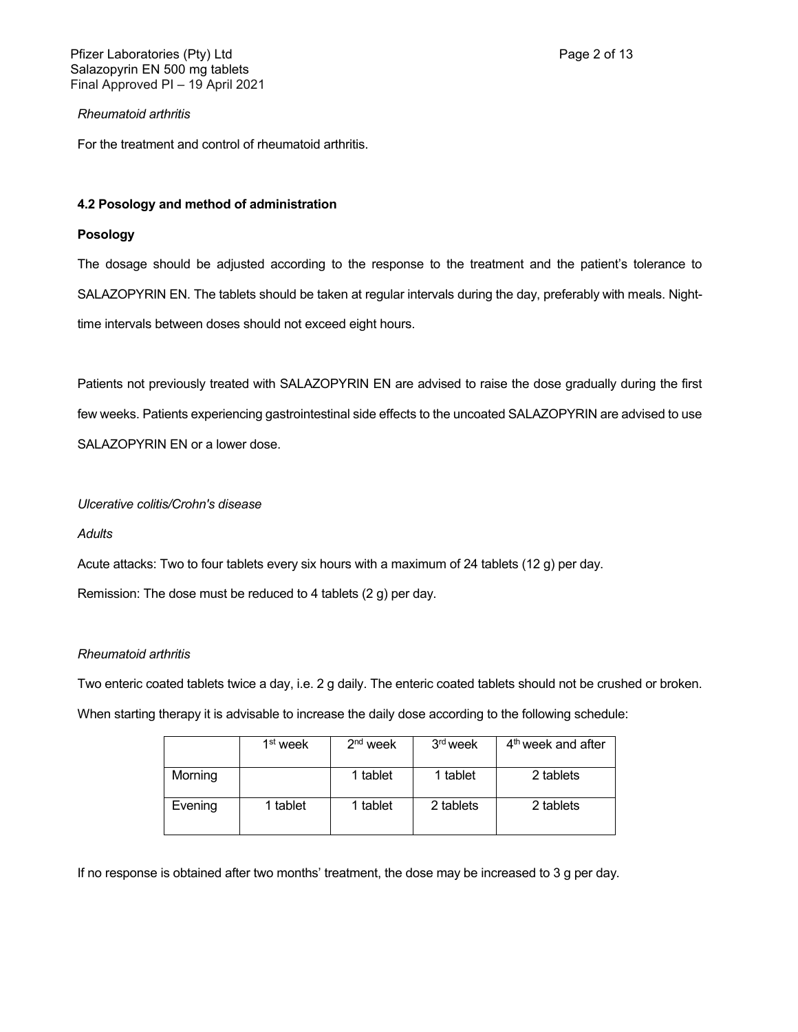For the treatment and control of rheumatoid arthritis.

### **4.2 Posology and method of administration**

### **Posology**

The dosage should be adjusted according to the response to the treatment and the patient's tolerance to SALAZOPYRIN EN. The tablets should be taken at regular intervals during the day, preferably with meals. Nighttime intervals between doses should not exceed eight hours.

Patients not previously treated with SALAZOPYRIN EN are advised to raise the dose gradually during the first few weeks. Patients experiencing gastrointestinal side effects to the uncoated SALAZOPYRIN are advised to use SALAZOPYRIN EN or a lower dose.

# *Ulcerative colitis/Crohn's disease*

### *Adults*

Acute attacks: Two to four tablets every six hours with a maximum of 24 tablets (12 g) per day.

Remission: The dose must be reduced to 4 tablets (2 g) per day.

### *Rheumatoid arthritis*

Two enteric coated tablets twice a day, i.e. 2 g daily. The enteric coated tablets should not be crushed or broken.

When starting therapy it is advisable to increase the daily dose according to the following schedule:

|         | 1 <sup>st</sup> week | $2nd$ week | 3 <sup>rd</sup> week | $4th$ week and after |
|---------|----------------------|------------|----------------------|----------------------|
| Morning |                      | 1 tablet   | 1 tablet             | 2 tablets            |
| Evening | 1 tablet             | 1 tablet   | 2 tablets            | 2 tablets            |

If no response is obtained after two months' treatment, the dose may be increased to 3 g per day.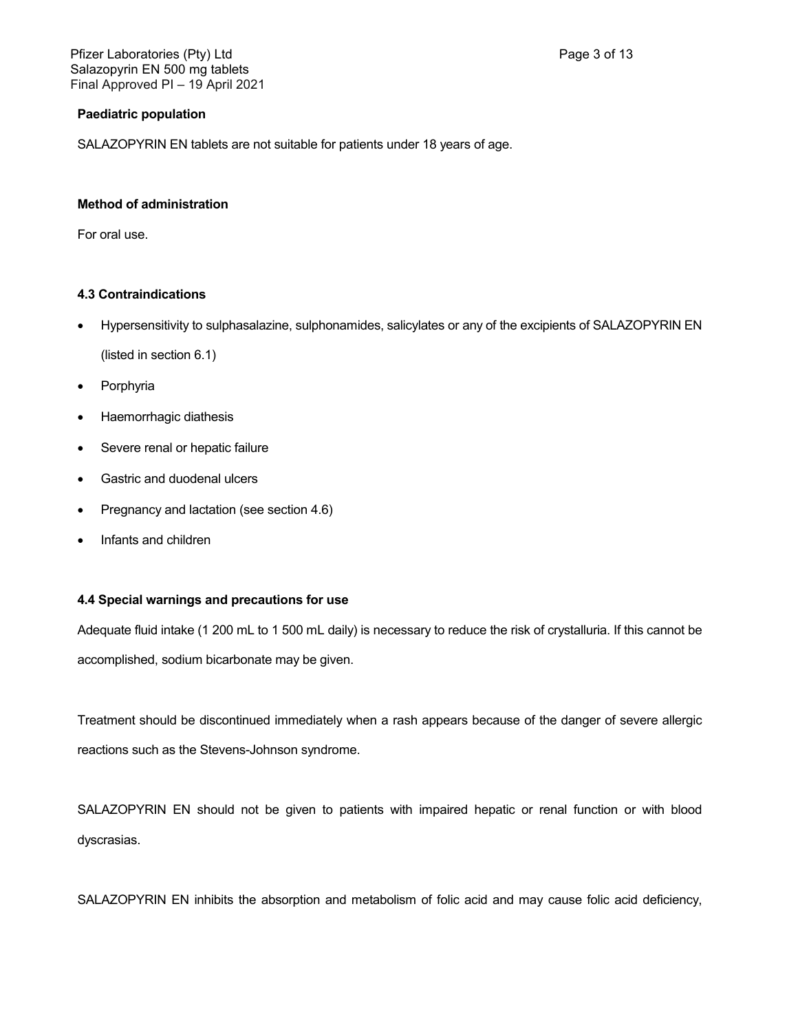Pfizer Laboratories (Pty) Ltd **Page 3 of 13** Salazopyrin EN 500 mg tablets Final Approved PI – 19 April 2021

### **Paediatric population**

SALAZOPYRIN EN tablets are not suitable for patients under 18 years of age.

### **Method of administration**

For oral use.

## **4.3 Contraindications**

Hypersensitivity to sulphasalazine, sulphonamides, salicylates or any of the excipients of SALAZOPYRIN EN

(listed in section 6.1)

- Porphyria
- Haemorrhagic diathesis
- Severe renal or hepatic failure
- Gastric and duodenal ulcers
- Pregnancy and lactation (see section 4.6)
- Infants and children

### **4.4 Special warnings and precautions for use**

Adequate fluid intake (1 200 mL to 1 500 mL daily) is necessary to reduce the risk of crystalluria. If this cannot be accomplished, sodium bicarbonate may be given.

Treatment should be discontinued immediately when a rash appears because of the danger of severe allergic reactions such as the Stevens-Johnson syndrome.

SALAZOPYRIN EN should not be given to patients with impaired hepatic or renal function or with blood dyscrasias.

SALAZOPYRIN EN inhibits the absorption and metabolism of folic acid and may cause folic acid deficiency,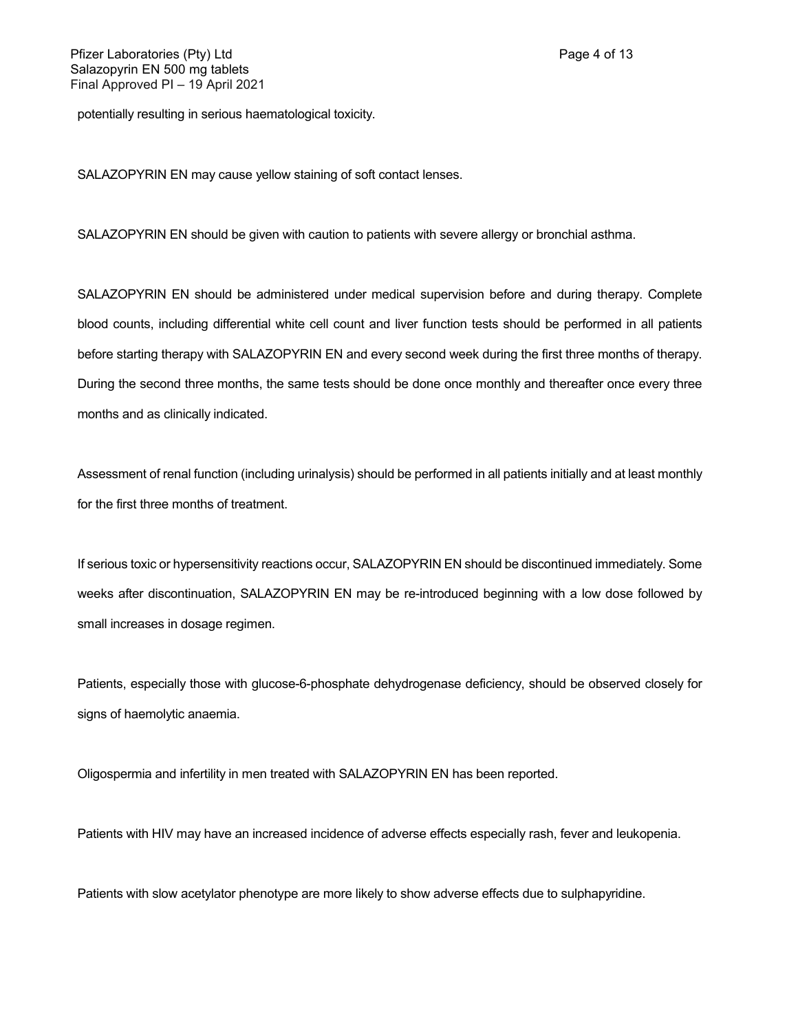potentially resulting in serious haematological toxicity.

SALAZOPYRIN EN may cause yellow staining of soft contact lenses.

SALAZOPYRIN EN should be given with caution to patients with severe allergy or bronchial asthma.

SALAZOPYRIN EN should be administered under medical supervision before and during therapy. Complete blood counts, including differential white cell count and liver function tests should be performed in all patients before starting therapy with SALAZOPYRIN EN and every second week during the first three months of therapy. During the second three months, the same tests should be done once monthly and thereafter once every three months and as clinically indicated.

Assessment of renal function (including urinalysis) should be performed in all patients initially and at least monthly for the first three months of treatment.

If serious toxic or hypersensitivity reactions occur, SALAZOPYRIN EN should be discontinued immediately. Some weeks after discontinuation, SALAZOPYRIN EN may be re-introduced beginning with a low dose followed by small increases in dosage regimen.

Patients, especially those with glucose-6-phosphate dehydrogenase deficiency, should be observed closely for signs of haemolytic anaemia.

Oligospermia and infertility in men treated with SALAZOPYRIN EN has been reported.

Patients with HIV may have an increased incidence of adverse effects especially rash, fever and leukopenia.

Patients with slow acetylator phenotype are more likely to show adverse effects due to sulphapyridine.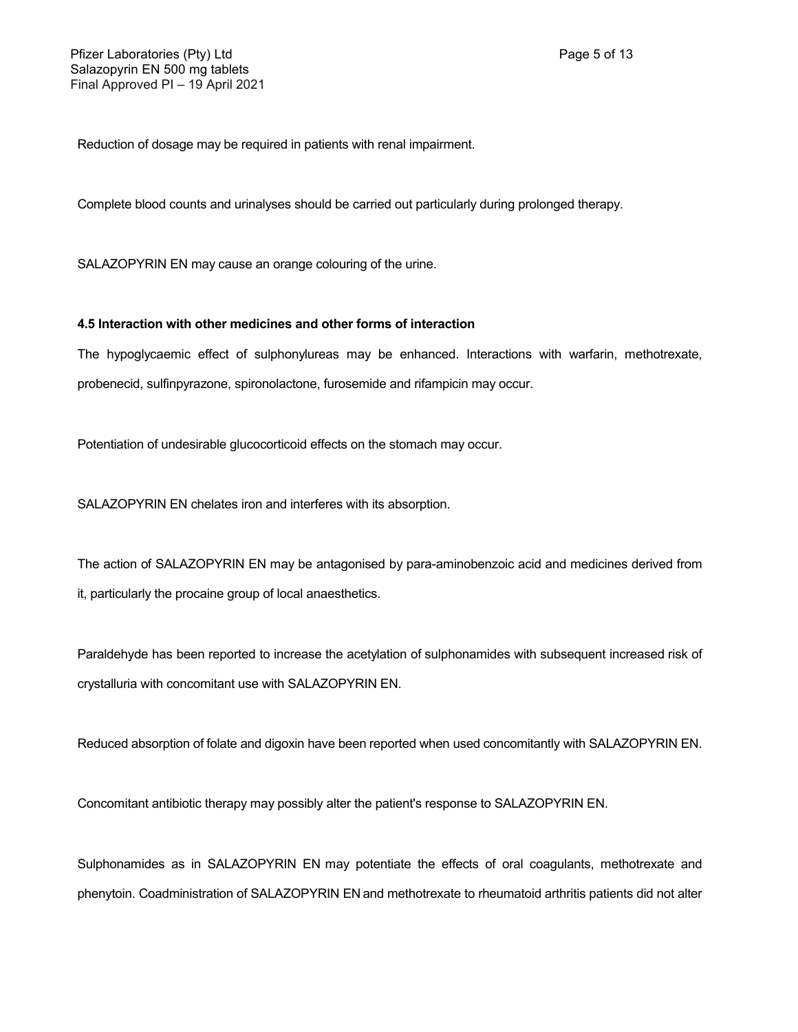Reduction of dosage may be required in patients with renal impairment.

Complete blood counts and urinalyses should be carried out particularly during prolonged therapy.

SALAZOPYRIN EN may cause an orange colouring of the urine.

## **4.5 Interaction with other medicines and other forms of interaction**

The hypoglycaemic effect of sulphonylureas may be enhanced. Interactions with warfarin, methotrexate, probenecid, sulfinpyrazone, spironolactone, furosemide and rifampicin may occur.

Potentiation of undesirable glucocorticoid effects on the stomach may occur.

SALAZOPYRIN EN chelates iron and interferes with its absorption.

The action of SALAZOPYRIN EN may be antagonised by para-aminobenzoic acid and medicines derived from it, particularly the procaine group of local anaesthetics.

Paraldehyde has been reported to increase the acetylation of sulphonamides with subsequent increased risk of crystalluria with concomitant use with SALAZOPYRIN EN.

Reduced absorption of folate and digoxin have been reported when used concomitantly with SALAZOPYRIN EN.

Concomitant antibiotic therapy may possibly alter the patient's response to SALAZOPYRIN EN.

Sulphonamides as in SALAZOPYRIN EN may potentiate the effects of oral coagulants, methotrexate and phenytoin. Coadministration of SALAZOPYRIN EN and methotrexate to rheumatoid arthritis patients did not alter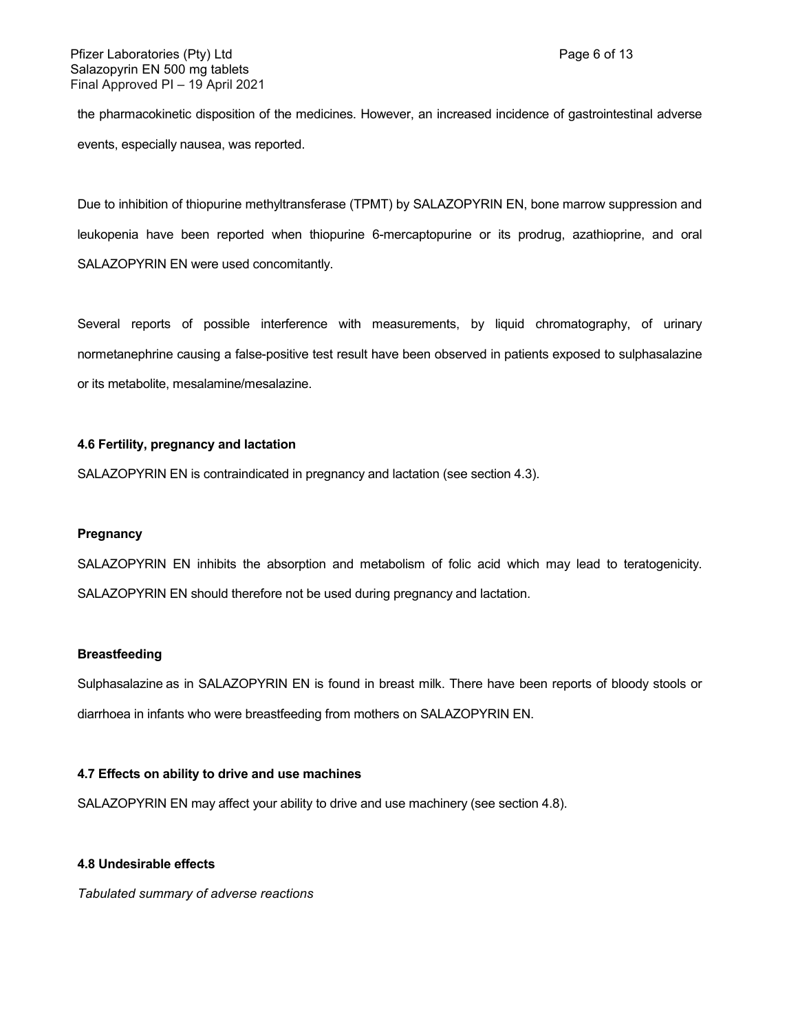the pharmacokinetic disposition of the medicines. However, an increased incidence of gastrointestinal adverse events, especially nausea, was reported.

Due to inhibition of thiopurine methyltransferase (TPMT) by SALAZOPYRIN EN, bone marrow suppression and leukopenia have been reported when thiopurine 6-mercaptopurine or its prodrug, azathioprine, and oral SALAZOPYRIN EN were used concomitantly.

Several reports of possible interference with measurements, by liquid chromatography, of urinary normetanephrine causing a false-positive test result have been observed in patients exposed to sulphasalazine or its metabolite, mesalamine/mesalazine.

#### **4.6 Fertility, pregnancy and lactation**

SALAZOPYRIN EN is contraindicated in pregnancy and lactation (see section 4.3).

#### **Pregnancy**

SALAZOPYRIN EN inhibits the absorption and metabolism of folic acid which may lead to teratogenicity. SALAZOPYRIN EN should therefore not be used during pregnancy and lactation.

### **Breastfeeding**

Sulphasalazine as in SALAZOPYRIN EN is found in breast milk. There have been reports of bloody stools or diarrhoea in infants who were breastfeeding from mothers on SALAZOPYRIN EN.

### **4.7 Effects on ability to drive and use machines**

SALAZOPYRIN EN may affect your ability to drive and use machinery (see section 4.8).

#### **4.8 Undesirable effects**

*Tabulated summary of adverse reactions*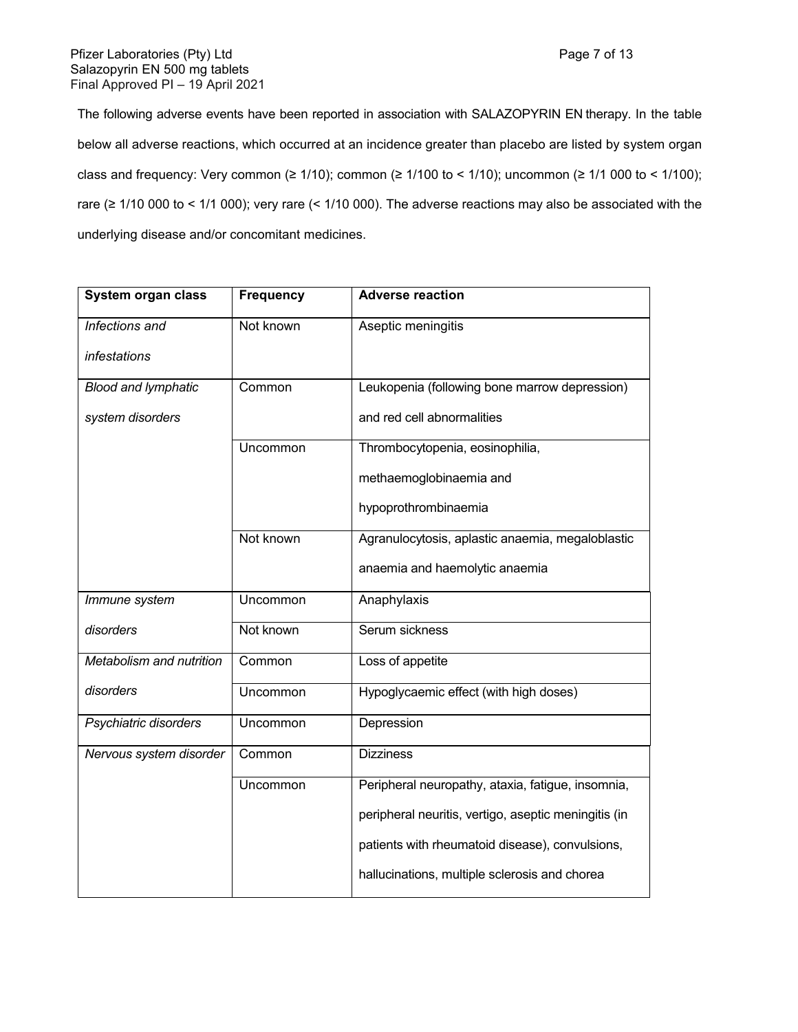The following adverse events have been reported in association with SALAZOPYRIN EN therapy. In the table below all adverse reactions, which occurred at an incidence greater than placebo are listed by system organ class and frequency: Very common ( $\geq 1/10$ ); common ( $\geq 1/100$  to < 1/10); uncommon ( $\geq 1/1000$  to < 1/100); rare (≥ 1/10 000 to < 1/1 000); very rare (< 1/10 000). The adverse reactions may also be associated with the underlying disease and/or concomitant medicines.

| System organ class         | <b>Frequency</b> | <b>Adverse reaction</b>                              |
|----------------------------|------------------|------------------------------------------------------|
| Infections and             | Not known        | Aseptic meningitis                                   |
| infestations               |                  |                                                      |
| <b>Blood and lymphatic</b> | Common           | Leukopenia (following bone marrow depression)        |
| system disorders           |                  | and red cell abnormalities                           |
|                            | Uncommon         | Thrombocytopenia, eosinophilia,                      |
|                            |                  | methaemoglobinaemia and                              |
|                            |                  | hypoprothrombinaemia                                 |
|                            | Not known        | Agranulocytosis, aplastic anaemia, megaloblastic     |
|                            |                  | anaemia and haemolytic anaemia                       |
| Immune system              | Uncommon         | Anaphylaxis                                          |
| disorders                  | Not known        | Serum sickness                                       |
| Metabolism and nutrition   | Common           | Loss of appetite                                     |
| disorders                  | Uncommon         | Hypoglycaemic effect (with high doses)               |
| Psychiatric disorders      | Uncommon         | Depression                                           |
| Nervous system disorder    | Common           | <b>Dizziness</b>                                     |
|                            | Uncommon         | Peripheral neuropathy, ataxia, fatigue, insomnia,    |
|                            |                  | peripheral neuritis, vertigo, aseptic meningitis (in |
|                            |                  | patients with rheumatoid disease), convulsions,      |
|                            |                  | hallucinations, multiple sclerosis and chorea        |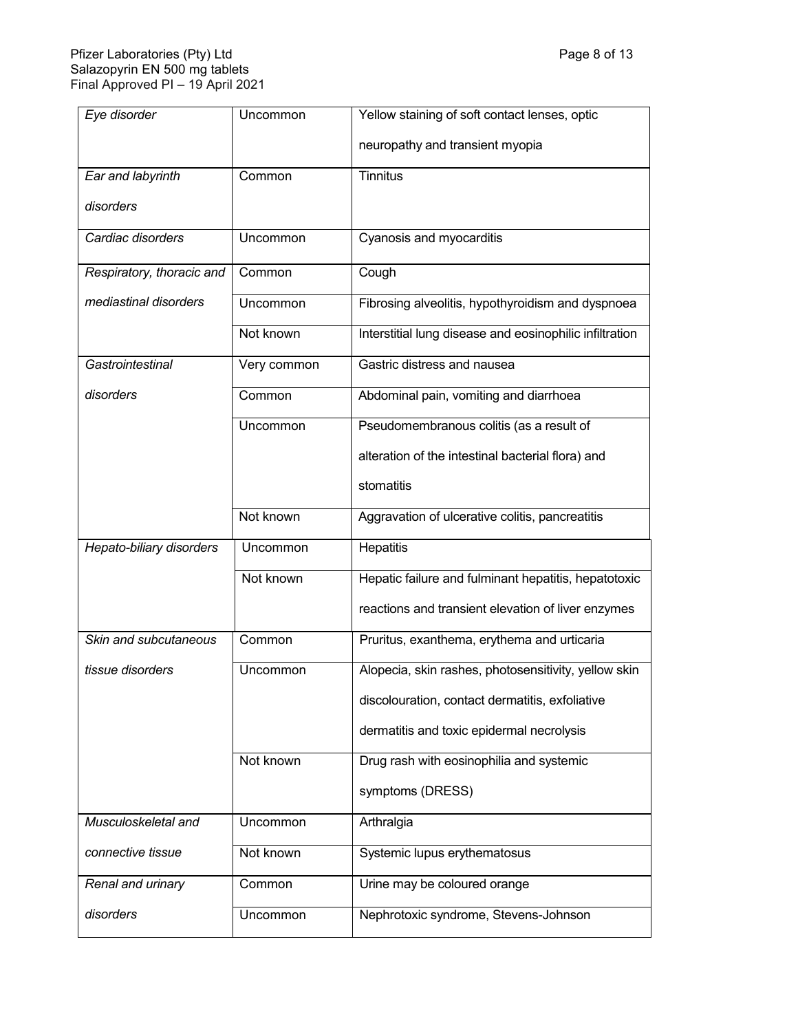| Eye disorder              | Uncommon    | Yellow staining of soft contact lenses, optic           |
|---------------------------|-------------|---------------------------------------------------------|
|                           |             | neuropathy and transient myopia                         |
| Ear and labyrinth         | Common      | <b>Tinnitus</b>                                         |
| disorders                 |             |                                                         |
| Cardiac disorders         | Uncommon    | Cyanosis and myocarditis                                |
| Respiratory, thoracic and | Common      | Cough                                                   |
| mediastinal disorders     | Uncommon    | Fibrosing alveolitis, hypothyroidism and dyspnoea       |
|                           | Not known   | Interstitial lung disease and eosinophilic infiltration |
| Gastrointestinal          | Very common | Gastric distress and nausea                             |
| disorders                 | Common      | Abdominal pain, vomiting and diarrhoea                  |
|                           | Uncommon    | Pseudomembranous colitis (as a result of                |
|                           |             | alteration of the intestinal bacterial flora) and       |
|                           |             | stomatitis                                              |
|                           | Not known   | Aggravation of ulcerative colitis, pancreatitis         |
| Hepato-biliary disorders  | Uncommon    | Hepatitis                                               |
|                           | Not known   | Hepatic failure and fulminant hepatitis, hepatotoxic    |
|                           |             | reactions and transient elevation of liver enzymes      |
| Skin and subcutaneous     | Common      | Pruritus, exanthema, erythema and urticaria             |
| tissue disorders          | Uncommon    | Alopecia, skin rashes, photosensitivity, yellow skin    |
|                           |             | discolouration, contact dermatitis, exfoliative         |
|                           |             | dermatitis and toxic epidermal necrolysis               |
|                           | Not known   | Drug rash with eosinophilia and systemic                |
|                           |             | symptoms (DRESS)                                        |
| Musculoskeletal and       | Uncommon    | Arthralgia                                              |
| connective tissue         | Not known   | Systemic lupus erythematosus                            |
| Renal and urinary         | Common      | Urine may be coloured orange                            |
| disorders                 | Uncommon    | Nephrotoxic syndrome, Stevens-Johnson                   |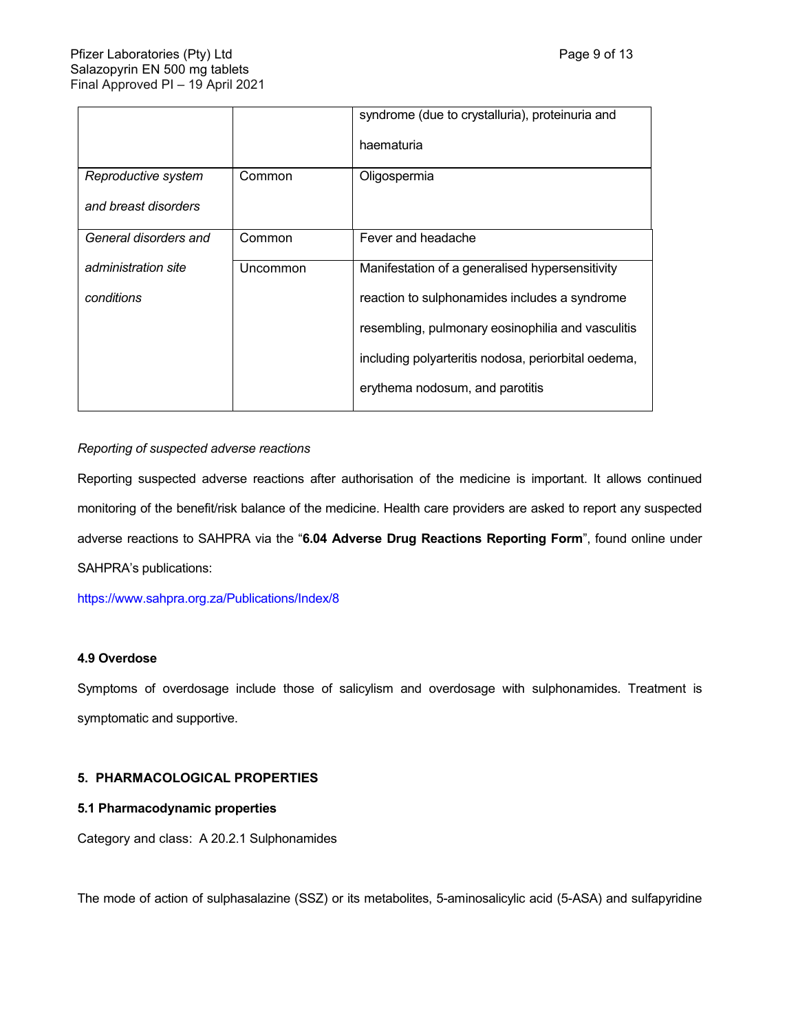|          | syndrome (due to crystalluria), proteinuria and     |
|----------|-----------------------------------------------------|
|          | haematuria                                          |
| Common   | Oligospermia                                        |
|          |                                                     |
| Common   | Fever and headache                                  |
| Uncommon | Manifestation of a generalised hypersensitivity     |
|          | reaction to sulphonamides includes a syndrome       |
|          | resembling, pulmonary eosinophilia and vasculitis   |
|          | including polyarteritis nodosa, periorbital oedema, |
|          | erythema nodosum, and parotitis                     |
|          |                                                     |

# *Reporting of suspected adverse reactions*

Reporting suspected adverse reactions after authorisation of the medicine is important. It allows continued monitoring of the benefit/risk balance of the medicine. Health care providers are asked to report any suspected adverse reactions to SAHPRA via the "**6.04 Adverse Drug Reactions Reporting Form**", found online under SAHPRA's publications:

<https://www.sahpra.org.za/Publications/Index/8>

# **4.9 Overdose**

Symptoms of overdosage include those of salicylism and overdosage with sulphonamides. Treatment is symptomatic and supportive.

# **5. PHARMACOLOGICAL PROPERTIES**

# **5.1 Pharmacodynamic properties**

Category and class: A 20.2.1 Sulphonamides

The mode of action of sulphasalazine (SSZ) or its metabolites, 5-aminosalicylic acid (5-ASA) and sulfapyridine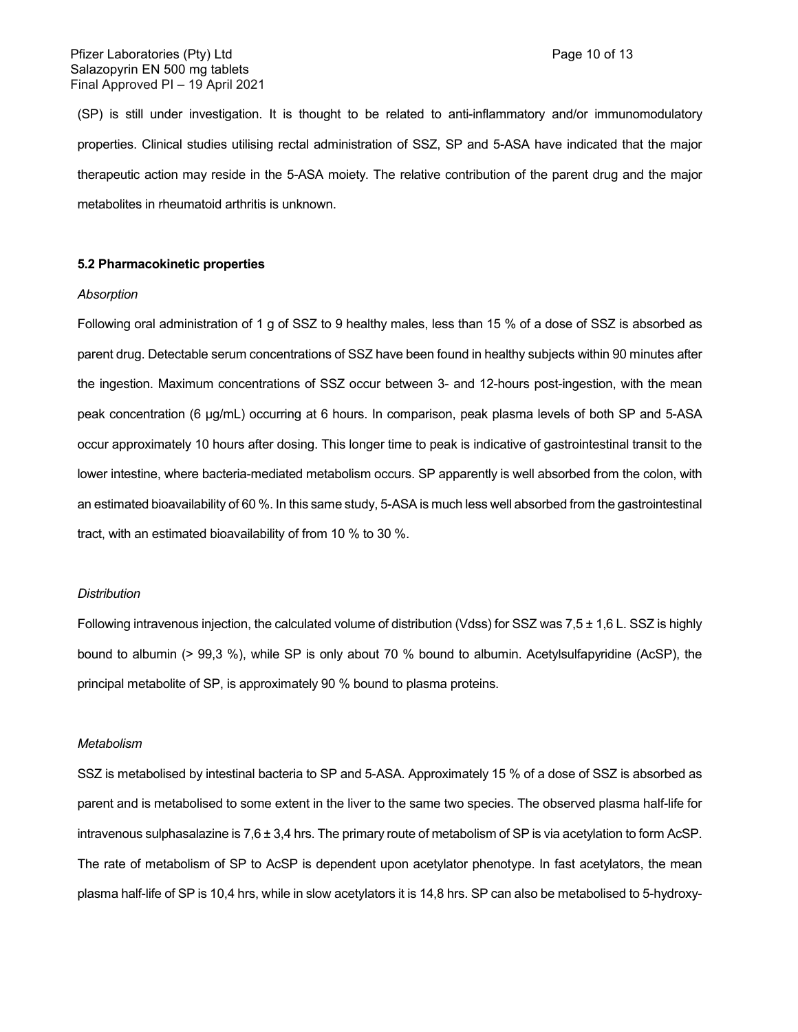(SP) is still under investigation. It is thought to be related to anti-inflammatory and/or immunomodulatory properties. Clinical studies utilising rectal administration of SSZ, SP and 5-ASA have indicated that the major therapeutic action may reside in the 5-ASA moiety. The relative contribution of the parent drug and the major metabolites in rheumatoid arthritis is unknown.

#### **5.2 Pharmacokinetic properties**

#### *Absorption*

Following oral administration of 1 g of SSZ to 9 healthy males, less than 15 % of a dose of SSZ is absorbed as parent drug. Detectable serum concentrations of SSZ have been found in healthy subjects within 90 minutes after the ingestion. Maximum concentrations of SSZ occur between 3- and 12-hours post-ingestion, with the mean peak concentration (6 μg/mL) occurring at 6 hours. In comparison, peak plasma levels of both SP and 5-ASA occur approximately 10 hours after dosing. This longer time to peak is indicative of gastrointestinal transit to the lower intestine, where bacteria-mediated metabolism occurs. SP apparently is well absorbed from the colon, with an estimated bioavailability of 60 %. In this same study, 5-ASA is much less well absorbed from the gastrointestinal tract, with an estimated bioavailability of from 10 % to 30 %.

#### *Distribution*

Following intravenous injection, the calculated volume of distribution (Vdss) for SSZ was  $7.5 \pm 1.6$  L. SSZ is highly bound to albumin (> 99,3 %), while SP is only about 70 % bound to albumin. Acetylsulfapyridine (AcSP), the principal metabolite of SP, is approximately 90 % bound to plasma proteins.

#### *Metabolism*

SSZ is metabolised by intestinal bacteria to SP and 5-ASA. Approximately 15 % of a dose of SSZ is absorbed as parent and is metabolised to some extent in the liver to the same two species. The observed plasma half-life for intravenous sulphasalazine is 7,6 ± 3,4 hrs. The primary route of metabolism of SP is via acetylation to form AcSP. The rate of metabolism of SP to AcSP is dependent upon acetylator phenotype. In fast acetylators, the mean plasma half-life of SP is 10,4 hrs, while in slow acetylators it is 14,8 hrs. SP can also be metabolised to 5-hydroxy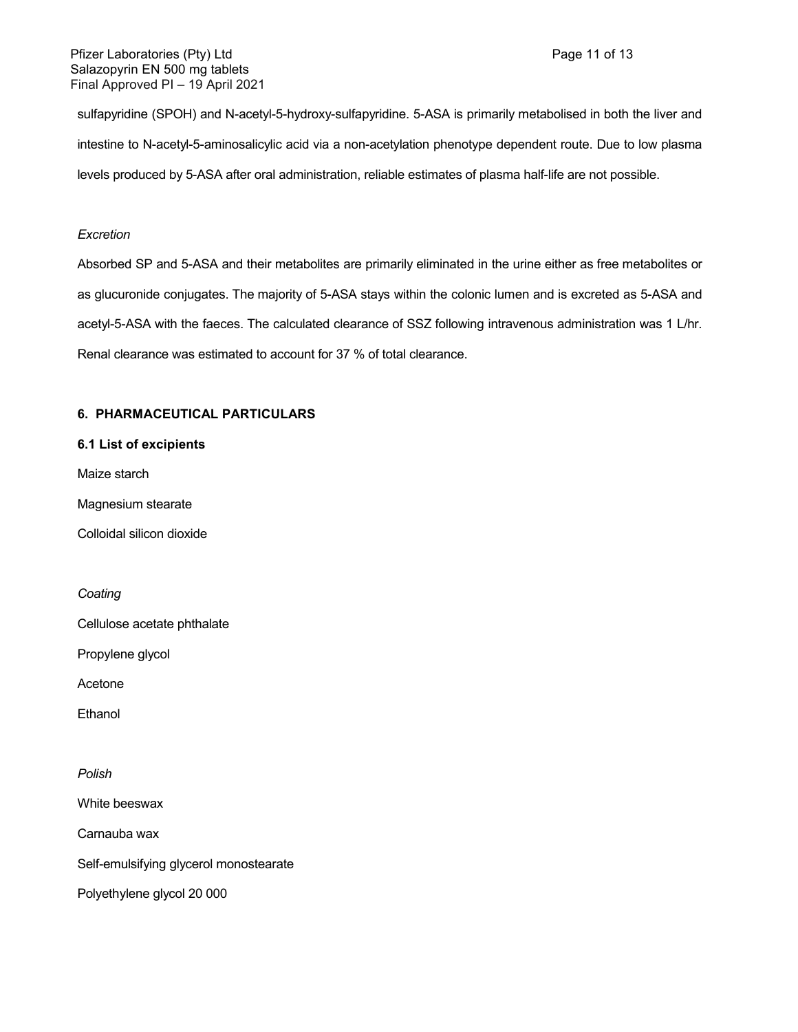sulfapyridine (SPOH) and N-acetyl-5-hydroxy-sulfapyridine. 5-ASA is primarily metabolised in both the liver and intestine to N-acetyl-5-aminosalicylic acid via a non-acetylation phenotype dependent route. Due to low plasma levels produced by 5-ASA after oral administration, reliable estimates of plasma half-life are not possible.

## *Excretion*

Absorbed SP and 5-ASA and their metabolites are primarily eliminated in the urine either as free metabolites or as glucuronide conjugates. The majority of 5-ASA stays within the colonic lumen and is excreted as 5-ASA and acetyl-5-ASA with the faeces. The calculated clearance of SSZ following intravenous administration was 1 L/hr. Renal clearance was estimated to account for 37 % of total clearance.

# **6. PHARMACEUTICAL PARTICULARS**

### **6.1 List of excipients**

Maize starch

Magnesium stearate

Colloidal silicon dioxide

*Coating*

Cellulose acetate phthalate

Propylene glycol

Acetone

**Ethanol** 

*Polish*

White beeswax

Carnauba wax

Self-emulsifying glycerol monostearate

Polyethylene glycol 20 000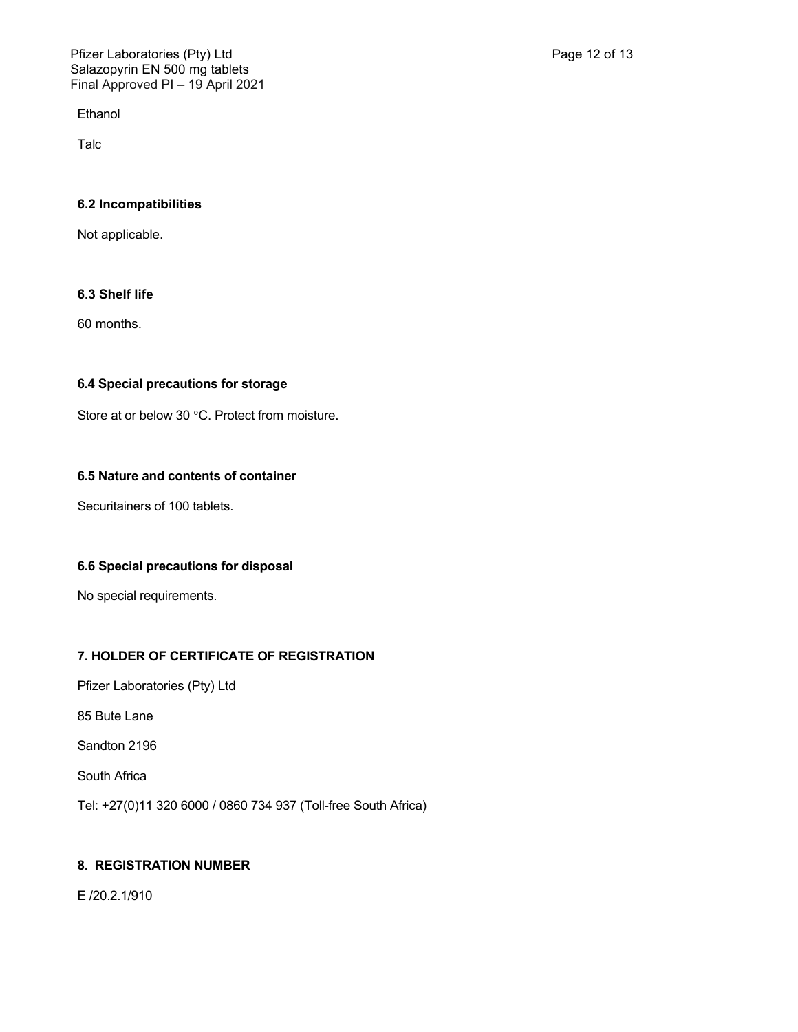**Ethanol** 

Talc

# **6.2 Incompatibilities**

Not applicable.

# **6.3 Shelf life**

60 months.

# **6.4 Special precautions for storage**

Store at or below 30 °C. Protect from moisture.

# **6.5 Nature and contents of container**

Securitainers of 100 tablets.

# **6.6 Special precautions for disposal**

No special requirements.

# **7. HOLDER OF CERTIFICATE OF REGISTRATION**

Pfizer Laboratories (Pty) Ltd

85 Bute Lane

Sandton 2196

South Africa

Tel: +27(0)11 320 6000 / 0860 734 937 (Toll-free South Africa)

# **8. REGISTRATION NUMBER**

E /20.2.1/910